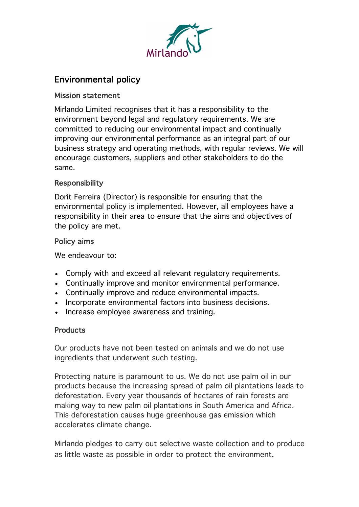

# Environmental policy

#### Mission statement

Mirlando Limited recognises that it has a responsibility to the environment beyond legal and regulatory requirements. We are committed to reducing our environmental impact and continually improving our environmental performance as an integral part of our business strategy and operating methods, with regular reviews. We will encourage customers, suppliers and other stakeholders to do the same.

#### Responsibility

Dorit Ferreira (Director) is responsible for ensuring that the environmental policy is implemented. However, all employees have a responsibility in their area to ensure that the aims and objectives of the policy are met.

#### Policy aims

We endeavour to:

- Comply with and exceed all relevant requistory requirements.
- Continually improve and monitor environmental performance.
- Continually improve and reduce environmental impacts.
- Incorporate environmental factors into business decisions.
- Increase employee awareness and training.

#### **Products**

Our products have not been tested on animals and we do not use ingredients that underwent such testing.

Protecting nature is paramount to us. We do not use palm oil in our products because the increasing spread of palm oil plantations leads to deforestation. Every year thousands of hectares of rain forests are making way to new palm oil plantations in South America and Africa. This deforestation causes huge greenhouse gas emission which accelerates climate change.

Mirlando pledges to carry out selective waste collection and to produce as little waste as possible in order to protect the environment.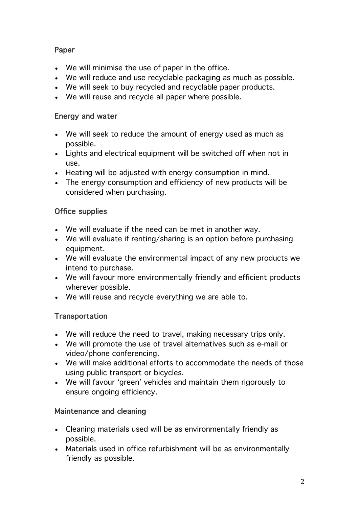# Paper

- We will minimise the use of paper in the office.
- We will reduce and use recyclable packaging as much as possible.
- We will seek to buy recycled and recyclable paper products.
- We will reuse and recycle all paper where possible.

#### Energy and water

- We will seek to reduce the amount of energy used as much as possible.
- Lights and electrical equipment will be switched off when not in use.
- Heating will be adjusted with energy consumption in mind.
- The energy consumption and efficiency of new products will be considered when purchasing.

# Office supplies

- We will evaluate if the need can be met in another way.
- We will evaluate if renting/sharing is an option before purchasing equipment.
- We will evaluate the environmental impact of any new products we intend to purchase.
- We will favour more environmentally friendly and efficient products wherever possible.
- We will reuse and recycle everything we are able to.

# **Transportation**

- We will reduce the need to travel, making necessary trips only.
- We will promote the use of travel alternatives such as e-mail or video/phone conferencing.
- We will make additional efforts to accommodate the needs of those using public transport or bicycles.
- We will favour 'green' vehicles and maintain them rigorously to ensure ongoing efficiency.

# Maintenance and cleaning

- Cleaning materials used will be as environmentally friendly as possible.
- Materials used in office refurbishment will be as environmentally friendly as possible.